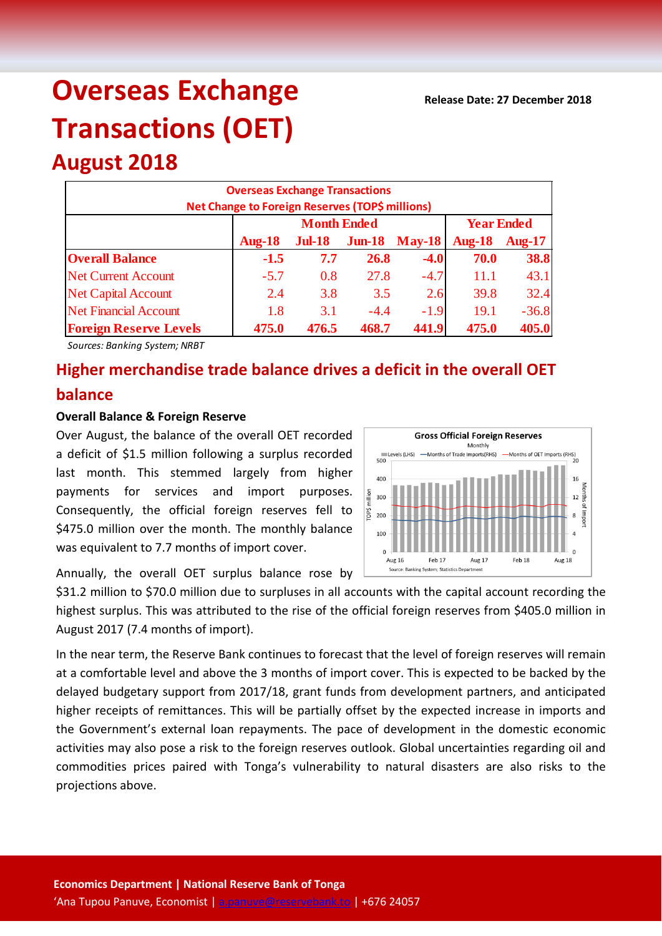# **Overseas Exchange Transactions (OET)**

## **August 2018**

| <b>Overseas Exchange Transactions</b><br>Net Change to Foreign Reserves (TOP\$ millions) |               |                    |                   |               |               |               |  |
|------------------------------------------------------------------------------------------|---------------|--------------------|-------------------|---------------|---------------|---------------|--|
|                                                                                          |               | <b>Month Ended</b> | <b>Year Ended</b> |               |               |               |  |
|                                                                                          | <b>Aug-18</b> | $Jul-18$           | $J$ un-18         | <b>May-18</b> | <b>Aug-18</b> | <b>Aug-17</b> |  |
| <b>Overall Balance</b>                                                                   | $-1.5$        | 7.7                | <b>26.8</b>       | $-4.0$        | 70.0          | 38.8          |  |
| <b>Net Current Account</b>                                                               | $-5.7$        | 0.8                | 27.8              | $-4.7$        | 11.1          | 43.1          |  |
| <b>Net Capital Account</b>                                                               | 2.4           | 3.8                | 3.5               | 2.6           | 39.8          | 32.4          |  |
| <b>Net Financial Account</b>                                                             | 1.8           | 3.1                | $-4.4$            | $-1.9$        | 19.1          | $-36.8$       |  |
| <b>Foreign Reserve Levels</b>                                                            | 475.0         | 476.5              | 468.7             | 441.9         | 475.0         | 405.0         |  |

*Sources: Banking System; NRBT*

### **Higher merchandise trade balance drives a deficit in the overall OET balance**

#### **Overall Balance & Foreign Reserve**

Over August, the balance of the overall OET recorded a deficit of \$1.5 million following a surplus recorded last month. This stemmed largely from higher payments for services and import purposes. Consequently, the official foreign reserves fell to \$475.0 million over the month. The monthly balance was equivalent to 7.7 months of import cover.

Annually, the overall OET surplus balance rose by

\$31.2 million to \$70.0 million due to surpluses in all accounts with the capital account recording the highest surplus. This was attributed to the rise of the official foreign reserves from \$405.0 million in August 2017 (7.4 months of import).

In the near term, the Reserve Bank continues to forecast that the level of foreign reserves will remain at a comfortable level and above the 3 months of import cover. This is expected to be backed by the delayed budgetary support from 2017/18, grant funds from development partners, and anticipated higher receipts of remittances. This will be partially offset by the expected increase in imports and the Government's external loan repayments. The pace of development in the domestic economic activities may also pose a risk to the foreign reserves outlook. Global uncertainties regarding oil and commodities prices paired with Tonga's vulnerability to natural disasters are also risks to the projections above.

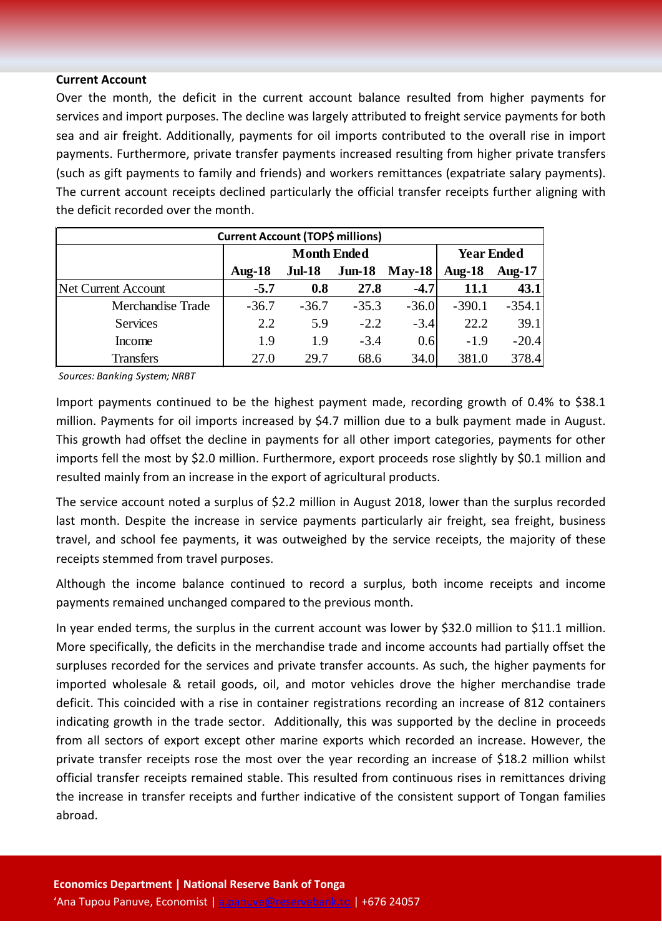#### **Current Account**

Over the month, the deficit in the current account balance resulted from higher payments for services and import purposes. The decline was largely attributed to freight service payments for both sea and air freight. Additionally, payments for oil imports contributed to the overall rise in import payments. Furthermore, private transfer payments increased resulting from higher private transfers (such as gift payments to family and friends) and workers remittances (expatriate salary payments). The current account receipts declined particularly the official transfer receipts further aligning with the deficit recorded over the month.

| <b>Current Account (TOP\$ millions)</b> |                    |               |          |          |                   |           |  |
|-----------------------------------------|--------------------|---------------|----------|----------|-------------------|-----------|--|
|                                         | <b>Month Ended</b> |               |          |          | <b>Year Ended</b> |           |  |
|                                         | <b>Aug-18</b>      | <b>Jul-18</b> | $Jun-18$ | $Mav-18$ | Aug- $18$         | Aug- $17$ |  |
| <b>Net Current Account</b>              | $-5.7$             | 0.8           | 27.8     | $-4.7$   | <b>11.1</b>       | 43.1      |  |
| Merchandise Trade                       | $-36.7$            | $-36.7$       | $-35.3$  | $-36.0$  | $-390.1$          | $-354.1$  |  |
| <b>Services</b>                         | 2.2                | 5.9           | $-2.2$   | $-3.4$   | 22.2              | 39.1      |  |
| Income                                  | 1.9                | 1.9           | $-3.4$   | 0.6      | $-1.9$            | $-20.4$   |  |
| <b>Transfers</b>                        | 27.0               | 29.7          | 68.6     | 34.0     | 381.0             | 378.4     |  |

*Sources: Banking System; NRBT*

Import payments continued to be the highest payment made, recording growth of 0.4% to \$38.1 million. Payments for oil imports increased by \$4.7 million due to a bulk payment made in August. This growth had offset the decline in payments for all other import categories, payments for other imports fell the most by \$2.0 million. Furthermore, export proceeds rose slightly by \$0.1 million and resulted mainly from an increase in the export of agricultural products.

The service account noted a surplus of \$2.2 million in August 2018, lower than the surplus recorded last month. Despite the increase in service payments particularly air freight, sea freight, business travel, and school fee payments, it was outweighed by the service receipts, the majority of these receipts stemmed from travel purposes.

Although the income balance continued to record a surplus, both income receipts and income payments remained unchanged compared to the previous month.

In year ended terms, the surplus in the current account was lower by \$32.0 million to \$11.1 million. More specifically, the deficits in the merchandise trade and income accounts had partially offset the surpluses recorded for the services and private transfer accounts. As such, the higher payments for imported wholesale & retail goods, oil, and motor vehicles drove the higher merchandise trade deficit. This coincided with a rise in container registrations recording an increase of 812 containers indicating growth in the trade sector. Additionally, this was supported by the decline in proceeds from all sectors of export except other marine exports which recorded an increase. However, the private transfer receipts rose the most over the year recording an increase of \$18.2 million whilst official transfer receipts remained stable. This resulted from continuous rises in remittances driving the increase in transfer receipts and further indicative of the consistent support of Tongan families abroad.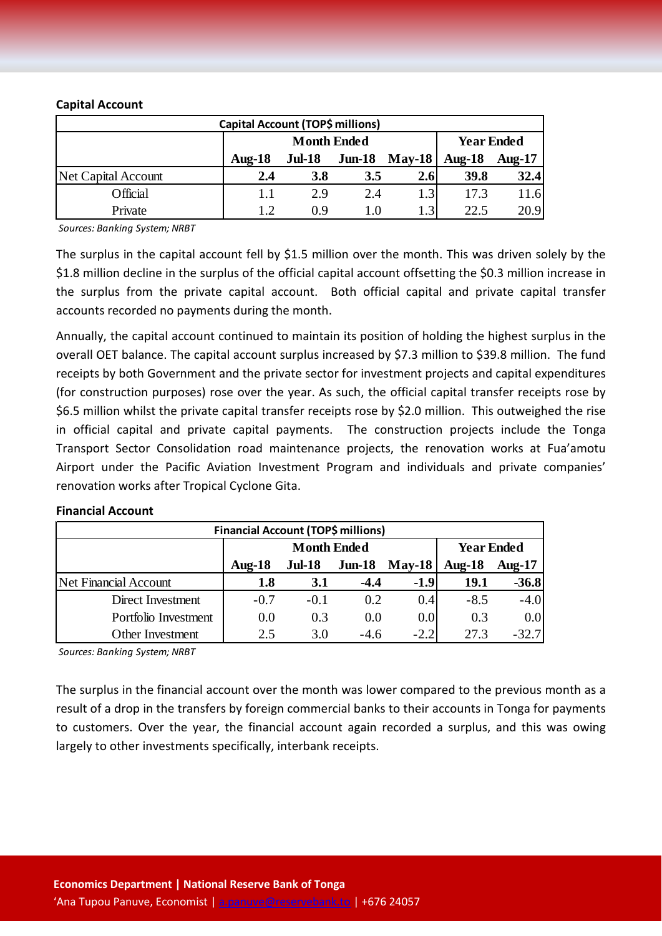#### **Capital Account**

| Capital Account (TOP\$ millions) |                    |               |           |          |                   |               |
|----------------------------------|--------------------|---------------|-----------|----------|-------------------|---------------|
|                                  | <b>Month Ended</b> |               |           |          | <b>Year Ended</b> |               |
|                                  | Aug- $18$          | <b>Jul-18</b> | $J$ un-18 | $Mav-18$ | Aug- $18$         | <b>Aug-17</b> |
| Net Capital Account              | 2.4                | 3.8           | 3.5       | 2.6      | 39.8              | 32.4          |
| Official                         | 1.1                | 2.9           | 2.4       | 1.3      | 17.3              | 11.6          |
| Private                          | 1.2                | 0.9           | 1.0       | 1.3      | 22.5              | 20.9          |

*Sources: Banking System; NRBT*

The surplus in the capital account fell by \$1.5 million over the month. This was driven solely by the \$1.8 million decline in the surplus of the official capital account offsetting the \$0.3 million increase in the surplus from the private capital account. Both official capital and private capital transfer accounts recorded no payments during the month.

Annually, the capital account continued to maintain its position of holding the highest surplus in the overall OET balance. The capital account surplus increased by \$7.3 million to \$39.8 million. The fund receipts by both Government and the private sector for investment projects and capital expenditures (for construction purposes) rose over the year. As such, the official capital transfer receipts rose by \$6.5 million whilst the private capital transfer receipts rose by \$2.0 million. This outweighed the rise in official capital and private capital payments. The construction projects include the Tonga Transport Sector Consolidation road maintenance projects, the renovation works at Fua'amotu Airport under the Pacific Aviation Investment Program and individuals and private companies' renovation works after Tropical Cyclone Gita.

#### **Financial Account**

| <b>Financial Account (TOP\$ millions)</b> |                    |               |          |               |                   |           |  |
|-------------------------------------------|--------------------|---------------|----------|---------------|-------------------|-----------|--|
|                                           | <b>Month Ended</b> |               |          |               | <b>Year Ended</b> |           |  |
|                                           | Aug- $18$          | <b>Jul-18</b> | $Jun-18$ | <b>May-18</b> | Aug- $18$         | Aug- $17$ |  |
| <b>Net Financial Account</b>              | 1.8                | 3.1           | $-4.4$   | $-1.9$        | 19.1              | $-36.8$   |  |
| Direct Investment                         | $-0.7$             | $-0.1$        | 0.2      | 0.4           | $-8.5$            | $-4.0$    |  |
| Portfolio Investment                      | 0.0                | 0.3           | 0.0      | 0.0           | 0.3               | 0.0       |  |
| Other Investment                          | 2.5                | 3.0           | $-4.6$   | $-2.2'$       | 27 3              | $-32.7$   |  |

*Sources: Banking System; NRBT*

The surplus in the financial account over the month was lower compared to the previous month as a result of a drop in the transfers by foreign commercial banks to their accounts in Tonga for payments to customers. Over the year, the financial account again recorded a surplus, and this was owing largely to other investments specifically, interbank receipts.